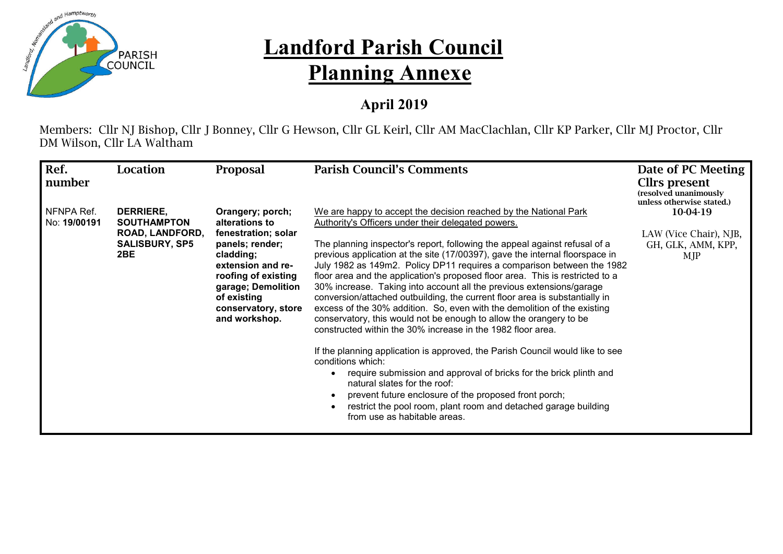

## **Landford Parish Council Planning Annexe**

## **April 2019**

Members: Cllr NJ Bishop, Cllr J Bonney, Cllr G Hewson, Cllr GL Keirl, Cllr AM MacClachlan, Cllr KP Parker, Cllr MJ Proctor, Cllr DM Wilson, Cllr LA Waltham

| Ref.                       | <b>Location</b>                                                                           | <b>Proposal</b>                                                                                                                                                                                                    | <b>Parish Council's Comments</b>                                                                                                                                                                                                                                                                                                                                                                                                                                                                                                                                                                                                                                                                                                                                                                                                                                                                                                                                                                                                                                                                                                                                                                | Date of PC Meeting                                                     |
|----------------------------|-------------------------------------------------------------------------------------------|--------------------------------------------------------------------------------------------------------------------------------------------------------------------------------------------------------------------|-------------------------------------------------------------------------------------------------------------------------------------------------------------------------------------------------------------------------------------------------------------------------------------------------------------------------------------------------------------------------------------------------------------------------------------------------------------------------------------------------------------------------------------------------------------------------------------------------------------------------------------------------------------------------------------------------------------------------------------------------------------------------------------------------------------------------------------------------------------------------------------------------------------------------------------------------------------------------------------------------------------------------------------------------------------------------------------------------------------------------------------------------------------------------------------------------|------------------------------------------------------------------------|
| number                     |                                                                                           |                                                                                                                                                                                                                    |                                                                                                                                                                                                                                                                                                                                                                                                                                                                                                                                                                                                                                                                                                                                                                                                                                                                                                                                                                                                                                                                                                                                                                                                 | Cllrs present<br>(resolved unanimously<br>unless otherwise stated.)    |
| NFNPA Ref.<br>No: 19/00191 | <b>DERRIERE,</b><br><b>SOUTHAMPTON</b><br>ROAD, LANDFORD,<br><b>SALISBURY, SP5</b><br>2BE | Orangery; porch;<br>alterations to<br>fenestration; solar<br>panels; render;<br>cladding;<br>extension and re-<br>roofing of existing<br>garage; Demolition<br>of existing<br>conservatory, store<br>and workshop. | We are happy to accept the decision reached by the National Park<br>Authority's Officers under their delegated powers.<br>The planning inspector's report, following the appeal against refusal of a<br>previous application at the site (17/00397), gave the internal floorspace in<br>July 1982 as 149m2. Policy DP11 requires a comparison between the 1982<br>floor area and the application's proposed floor area. This is restricted to a<br>30% increase. Taking into account all the previous extensions/garage<br>conversion/attached outbuilding, the current floor area is substantially in<br>excess of the 30% addition. So, even with the demolition of the existing<br>conservatory, this would not be enough to allow the orangery to be<br>constructed within the 30% increase in the 1982 floor area.<br>If the planning application is approved, the Parish Council would like to see<br>conditions which:<br>require submission and approval of bricks for the brick plinth and<br>natural slates for the roof:<br>prevent future enclosure of the proposed front porch;<br>restrict the pool room, plant room and detached garage building<br>from use as habitable areas. | 10-04-19<br>LAW (Vice Chair), NJB,<br>GH, GLK, AMM, KPP,<br><b>MJP</b> |
|                            |                                                                                           |                                                                                                                                                                                                                    |                                                                                                                                                                                                                                                                                                                                                                                                                                                                                                                                                                                                                                                                                                                                                                                                                                                                                                                                                                                                                                                                                                                                                                                                 |                                                                        |